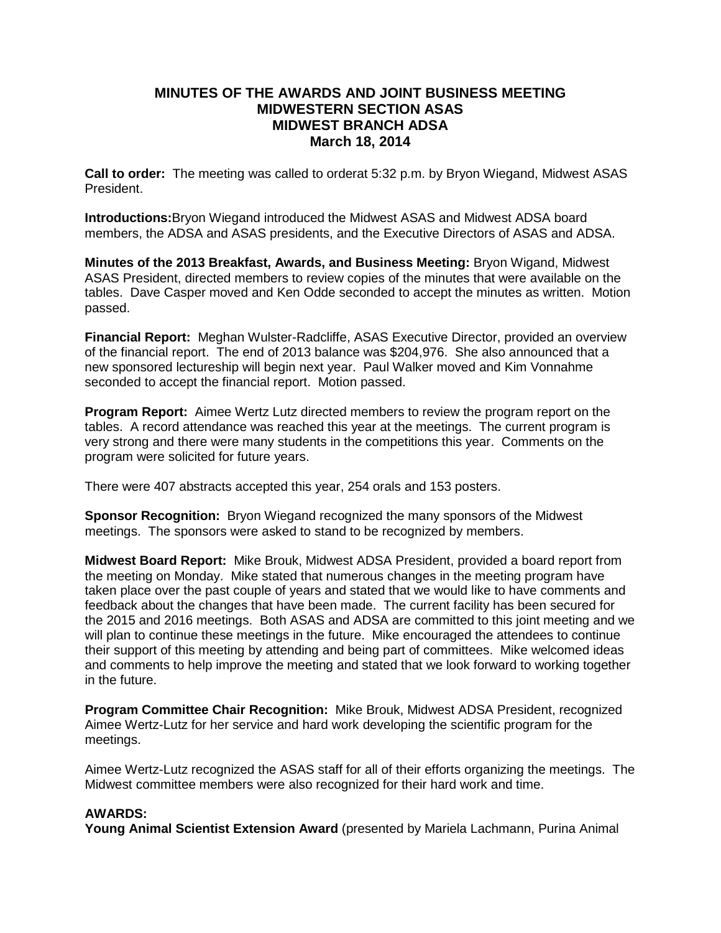# **MINUTES OF THE AWARDS AND JOINT BUSINESS MEETING MIDWESTERN SECTION ASAS MIDWEST BRANCH ADSA March 18, 2014**

**Call to order:** The meeting was called to orderat 5:32 p.m. by Bryon Wiegand, Midwest ASAS President.

**Introductions:**Bryon Wiegand introduced the Midwest ASAS and Midwest ADSA board members, the ADSA and ASAS presidents, and the Executive Directors of ASAS and ADSA.

**Minutes of the 2013 Breakfast, Awards, and Business Meeting:** Bryon Wigand, Midwest ASAS President, directed members to review copies of the minutes that were available on the tables. Dave Casper moved and Ken Odde seconded to accept the minutes as written. Motion passed.

**Financial Report:** Meghan Wulster-Radcliffe, ASAS Executive Director, provided an overview of the financial report. The end of 2013 balance was \$204,976. She also announced that a new sponsored lectureship will begin next year. Paul Walker moved and Kim Vonnahme seconded to accept the financial report. Motion passed.

**Program Report:** Aimee Wertz Lutz directed members to review the program report on the tables. A record attendance was reached this year at the meetings. The current program is very strong and there were many students in the competitions this year. Comments on the program were solicited for future years.

There were 407 abstracts accepted this year, 254 orals and 153 posters.

**Sponsor Recognition:** Bryon Wiegand recognized the many sponsors of the Midwest meetings. The sponsors were asked to stand to be recognized by members.

**Midwest Board Report:** Mike Brouk, Midwest ADSA President, provided a board report from the meeting on Monday. Mike stated that numerous changes in the meeting program have taken place over the past couple of years and stated that we would like to have comments and feedback about the changes that have been made. The current facility has been secured for the 2015 and 2016 meetings. Both ASAS and ADSA are committed to this joint meeting and we will plan to continue these meetings in the future. Mike encouraged the attendees to continue their support of this meeting by attending and being part of committees. Mike welcomed ideas and comments to help improve the meeting and stated that we look forward to working together in the future.

**Program Committee Chair Recognition:** Mike Brouk, Midwest ADSA President, recognized Aimee Wertz-Lutz for her service and hard work developing the scientific program for the meetings.

Aimee Wertz-Lutz recognized the ASAS staff for all of their efforts organizing the meetings. The Midwest committee members were also recognized for their hard work and time.

# **AWARDS:**

**Young Animal Scientist Extension Award** (presented by Mariela Lachmann, Purina Animal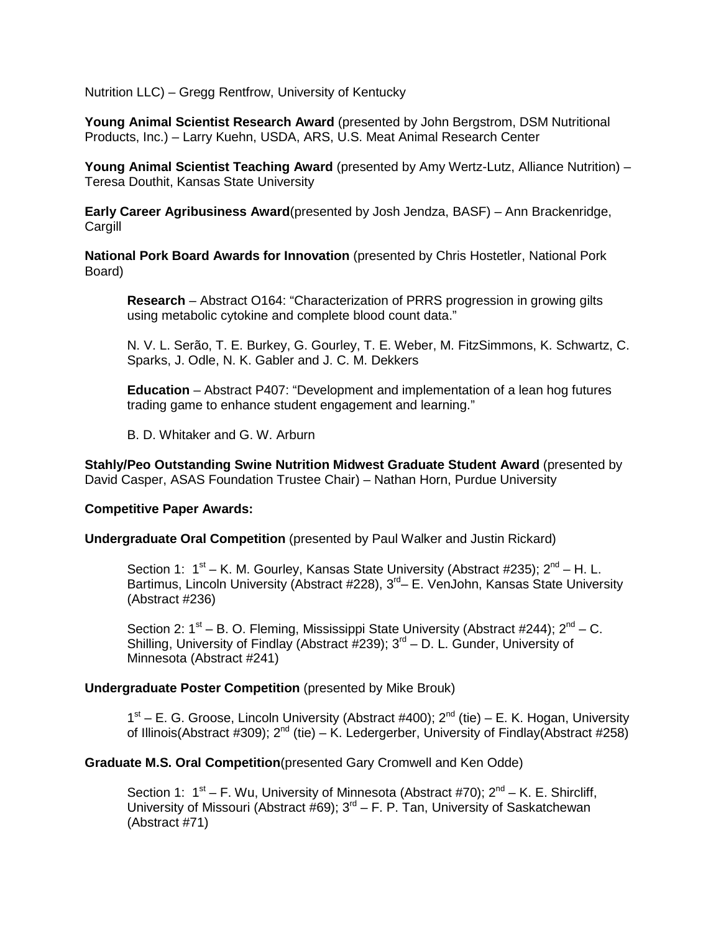Nutrition LLC) – Gregg Rentfrow, University of Kentucky

**Young Animal Scientist Research Award** (presented by John Bergstrom, DSM Nutritional Products, Inc.) – Larry Kuehn, USDA, ARS, U.S. Meat Animal Research Center

**Young Animal Scientist Teaching Award** (presented by Amy Wertz-Lutz, Alliance Nutrition) – Teresa Douthit, Kansas State University

**Early Career Agribusiness Award**(presented by Josh Jendza, BASF) – Ann Brackenridge, **Cargill** 

**National Pork Board Awards for Innovation** (presented by Chris Hostetler, National Pork Board)

**Research** – Abstract O164: "Characterization of PRRS progression in growing gilts using metabolic cytokine and complete blood count data."

N. V. L. Serão, T. E. Burkey, G. Gourley, T. E. Weber, M. FitzSimmons, K. Schwartz, C. Sparks, J. Odle, N. K. Gabler and J. C. M. Dekkers

**Education** – Abstract P407: "Development and implementation of a lean hog futures trading game to enhance student engagement and learning."

B. D. Whitaker and G. W. Arburn

**Stahly/Peo Outstanding Swine Nutrition Midwest Graduate Student Award** (presented by David Casper, ASAS Foundation Trustee Chair) – Nathan Horn, Purdue University

#### **Competitive Paper Awards:**

**Undergraduate Oral Competition** (presented by Paul Walker and Justin Rickard)

Section 1:  $1<sup>st</sup>$  – K. M. Gourley, Kansas State University (Abstract #235);  $2<sup>nd</sup>$  – H. L. Bartimus, Lincoln University (Abstract #228),  $3<sup>rd</sup> - E$ . VenJohn, Kansas State University (Abstract #236)

Section 2:  $1^{st}$  – B. O. Fleming, Mississippi State University (Abstract #244);  $2^{nd}$  – C. Shilling, University of Findlay (Abstract #239);  $3<sup>rd</sup> - D$ . L. Gunder, University of Minnesota (Abstract #241)

#### **Undergraduate Poster Competition** (presented by Mike Brouk)

 $1<sup>st</sup>$  – E. G. Groose, Lincoln University (Abstract #400);  $2<sup>nd</sup>$  (tie) – E. K. Hogan, University of Illinois(Abstract #309);  $2^{nd}$  (tie) – K. Ledergerber, University of Findlay(Abstract #258)

**Graduate M.S. Oral Competition**(presented Gary Cromwell and Ken Odde)

Section 1:  $1^{st}$  – F. Wu, University of Minnesota (Abstract #70):  $2^{nd}$  – K. E. Shircliff, University of Missouri (Abstract #69);  $3<sup>rd</sup> - F$ . P. Tan, University of Saskatchewan (Abstract #71)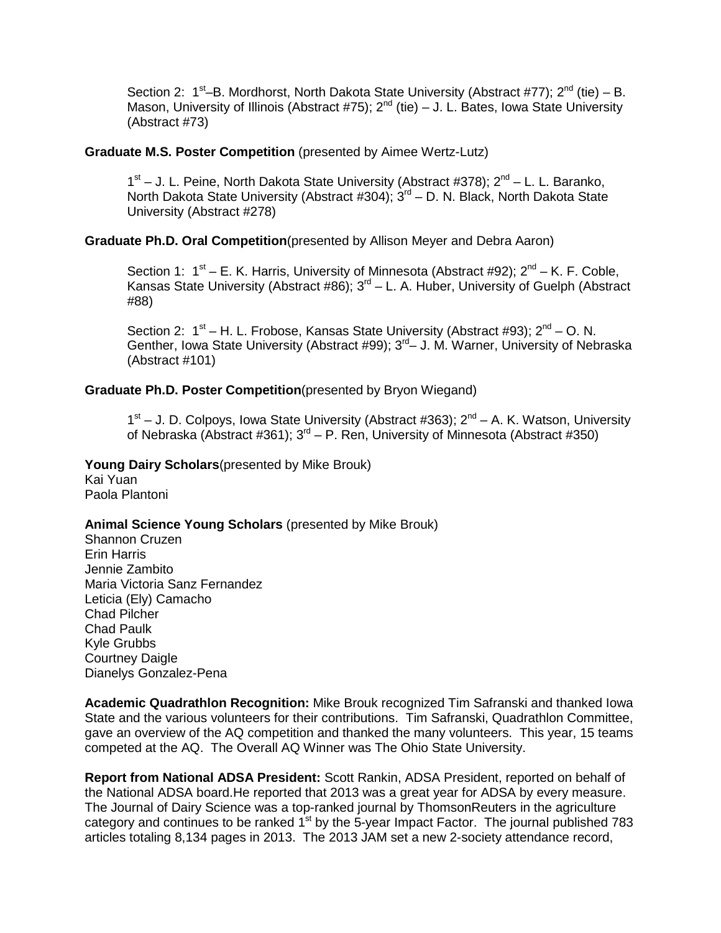Section 2:  $1<sup>st</sup>$ –B. Mordhorst, North Dakota State University (Abstract #77);  $2<sup>nd</sup>$  (tie) – B. Mason, University of Illinois (Abstract #75);  $2^{nd}$  (tie) – J. L. Bates, Iowa State University (Abstract #73)

### **Graduate M.S. Poster Competition** (presented by Aimee Wertz-Lutz)

 $1<sup>st</sup> - J$ . L. Peine, North Dakota State University (Abstract #378);  $2<sup>nd</sup> - L$ . L. Baranko, North Dakota State University (Abstract #304); 3<sup>rd</sup> – D. N. Black, North Dakota State University (Abstract #278)

# **Graduate Ph.D. Oral Competition**(presented by Allison Meyer and Debra Aaron)

Section 1:  $1^{st}$  – E. K. Harris, University of Minnesota (Abstract #92);  $2^{nd}$  – K. F. Coble, Kansas State University (Abstract #86);  $3<sup>rd</sup> - L$ . A. Huber, University of Guelph (Abstract #88)

Section 2:  $1^{st}$  – H. L. Frobose, Kansas State University (Abstract #93);  $2^{nd}$  – O. N. Genther, Iowa State University (Abstract #99); 3<sup>rd</sup> - J. M. Warner, University of Nebraska (Abstract #101)

### **Graduate Ph.D. Poster Competition**(presented by Bryon Wiegand)

 $1<sup>st</sup> - J$ . D. Colpoys, Iowa State University (Abstract #363);  $2<sup>nd</sup> - A$ . K. Watson, University of Nebraska (Abstract #361);  $3^{rd}$  – P. Ren, University of Minnesota (Abstract #350)

### **Young Dairy Scholars**(presented by Mike Brouk)

Kai Yuan Paola Plantoni

### **Animal Science Young Scholars** (presented by Mike Brouk)

Shannon Cruzen Erin Harris Jennie Zambito Maria Victoria Sanz Fernandez Leticia (Ely) Camacho Chad Pilcher Chad Paulk Kyle Grubbs Courtney Daigle Dianelys Gonzalez-Pena

**Academic Quadrathlon Recognition:** Mike Brouk recognized Tim Safranski and thanked Iowa State and the various volunteers for their contributions. Tim Safranski, Quadrathlon Committee, gave an overview of the AQ competition and thanked the many volunteers. This year, 15 teams competed at the AQ. The Overall AQ Winner was The Ohio State University.

**Report from National ADSA President:** Scott Rankin, ADSA President, reported on behalf of the National ADSA board.He reported that 2013 was a great year for ADSA by every measure. The Journal of Dairy Science was a top-ranked journal by ThomsonReuters in the agriculture category and continues to be ranked  $1<sup>st</sup>$  by the 5-year Impact Factor. The journal published 783 articles totaling 8,134 pages in 2013. The 2013 JAM set a new 2-society attendance record,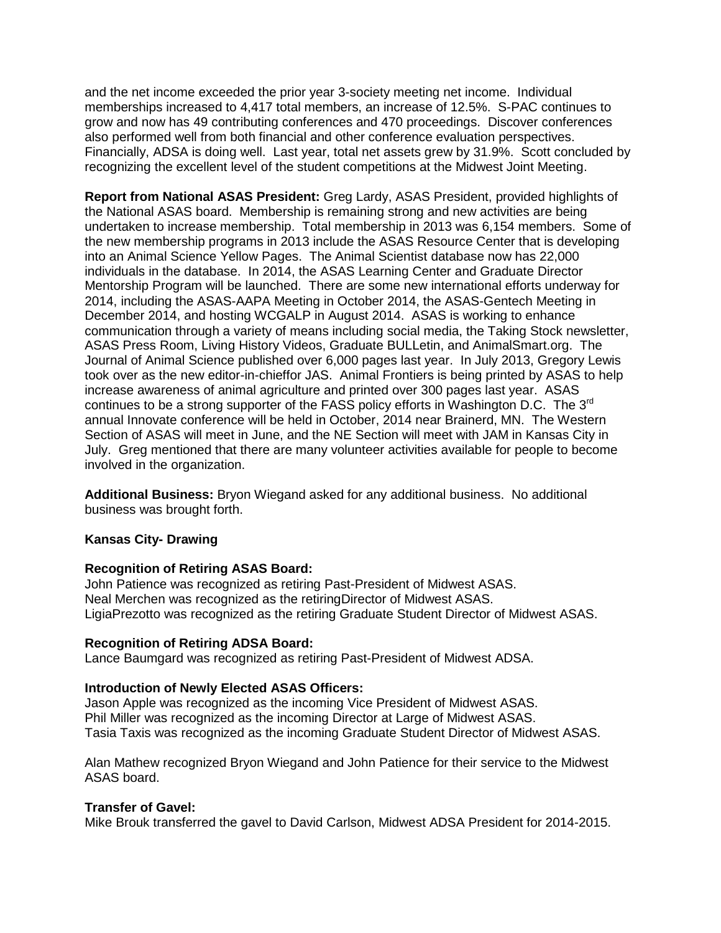and the net income exceeded the prior year 3-society meeting net income. Individual memberships increased to 4,417 total members, an increase of 12.5%. S-PAC continues to grow and now has 49 contributing conferences and 470 proceedings. Discover conferences also performed well from both financial and other conference evaluation perspectives. Financially, ADSA is doing well. Last year, total net assets grew by 31.9%. Scott concluded by recognizing the excellent level of the student competitions at the Midwest Joint Meeting.

**Report from National ASAS President:** Greg Lardy, ASAS President, provided highlights of the National ASAS board. Membership is remaining strong and new activities are being undertaken to increase membership. Total membership in 2013 was 6,154 members. Some of the new membership programs in 2013 include the ASAS Resource Center that is developing into an Animal Science Yellow Pages. The Animal Scientist database now has 22,000 individuals in the database. In 2014, the ASAS Learning Center and Graduate Director Mentorship Program will be launched. There are some new international efforts underway for 2014, including the ASAS-AAPA Meeting in October 2014, the ASAS-Gentech Meeting in December 2014, and hosting WCGALP in August 2014. ASAS is working to enhance communication through a variety of means including social media, the Taking Stock newsletter, ASAS Press Room, Living History Videos, Graduate BULLetin, and AnimalSmart.org. The Journal of Animal Science published over 6,000 pages last year. In July 2013, Gregory Lewis took over as the new editor-in-chieffor JAS. Animal Frontiers is being printed by ASAS to help increase awareness of animal agriculture and printed over 300 pages last year. ASAS continues to be a strong supporter of the FASS policy efforts in Washington D.C. The 3<sup>rd</sup> annual Innovate conference will be held in October, 2014 near Brainerd, MN. The Western Section of ASAS will meet in June, and the NE Section will meet with JAM in Kansas City in July. Greg mentioned that there are many volunteer activities available for people to become involved in the organization.

**Additional Business:** Bryon Wiegand asked for any additional business. No additional business was brought forth.

# **Kansas City- Drawing**

#### **Recognition of Retiring ASAS Board:**

John Patience was recognized as retiring Past-President of Midwest ASAS. Neal Merchen was recognized as the retiringDirector of Midwest ASAS. LigiaPrezotto was recognized as the retiring Graduate Student Director of Midwest ASAS.

#### **Recognition of Retiring ADSA Board:**

Lance Baumgard was recognized as retiring Past-President of Midwest ADSA.

# **Introduction of Newly Elected ASAS Officers:**

Jason Apple was recognized as the incoming Vice President of Midwest ASAS. Phil Miller was recognized as the incoming Director at Large of Midwest ASAS. Tasia Taxis was recognized as the incoming Graduate Student Director of Midwest ASAS.

Alan Mathew recognized Bryon Wiegand and John Patience for their service to the Midwest ASAS board.

# **Transfer of Gavel:**

Mike Brouk transferred the gavel to David Carlson, Midwest ADSA President for 2014-2015.